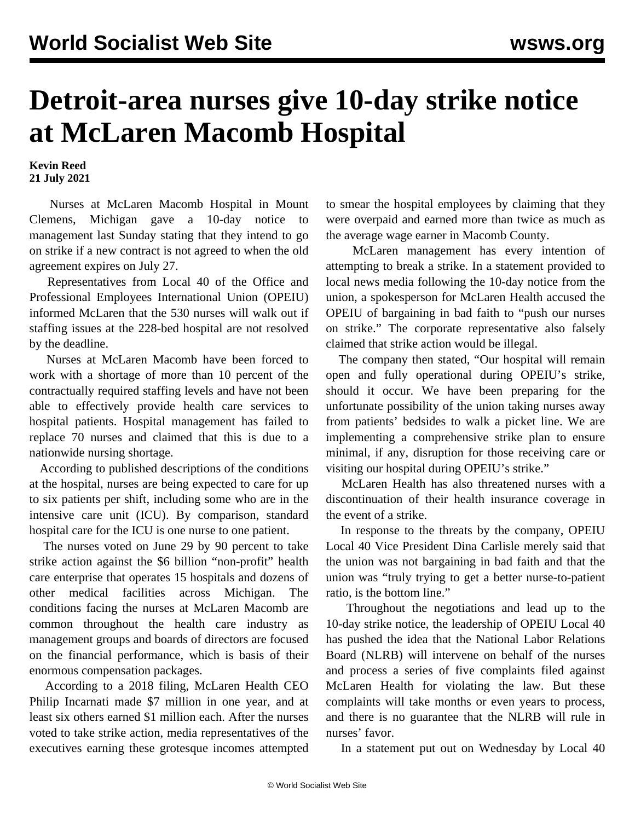## **Detroit-area nurses give 10-day strike notice at McLaren Macomb Hospital**

**Kevin Reed 21 July 2021**

 Nurses at McLaren Macomb Hospital in Mount Clemens, Michigan gave a 10-day notice to management last Sunday stating that they intend to go on strike if a new contract is not agreed to when the old agreement expires on July 27.

 Representatives from Local 40 of the Office and Professional Employees International Union (OPEIU) informed McLaren that the 530 nurses will walk out if staffing issues at the 228-bed hospital are not resolved by the deadline.

 Nurses at McLaren Macomb have been forced to work with a shortage of more than 10 percent of the contractually required staffing levels and have not been able to effectively provide health care services to hospital patients. Hospital management has failed to replace 70 nurses and claimed that this is due to a nationwide nursing shortage.

 According to published descriptions of the conditions at the hospital, nurses are being expected to care for up to six patients per shift, including some who are in the intensive care unit (ICU). By comparison, standard hospital care for the ICU is one nurse to one patient.

 The nurses voted on June 29 by 90 percent to take strike action against the \$6 billion "non-profit" health care enterprise that operates 15 hospitals and dozens of other medical facilities across Michigan. The conditions facing the nurses at McLaren Macomb are common throughout the health care industry as management groups and boards of directors are focused on the financial performance, which is basis of their enormous compensation packages.

 According to a 2018 filing, McLaren Health CEO Philip Incarnati made \$7 million in one year, and at least six others earned \$1 million each. After the nurses voted to take strike action, media representatives of the executives earning these grotesque incomes attempted

to smear the hospital employees by claiming that they were overpaid and earned more than twice as much as the average wage earner in Macomb County.

 McLaren management has every intention of attempting to break a strike. In a statement provided to local news media following the 10-day notice from the union, a spokesperson for McLaren Health accused the OPEIU of bargaining in bad faith to "push our nurses on strike." The corporate representative also falsely claimed that strike action would be illegal.

 The company then stated, "Our hospital will remain open and fully operational during OPEIU's strike, should it occur. We have been preparing for the unfortunate possibility of the union taking nurses away from patients' bedsides to walk a picket line. We are implementing a comprehensive strike plan to ensure minimal, if any, disruption for those receiving care or visiting our hospital during OPEIU's strike."

 McLaren Health has also threatened nurses with a discontinuation of their health insurance coverage in the event of a strike.

 In response to the threats by the company, OPEIU Local 40 Vice President Dina Carlisle merely said that the union was not bargaining in bad faith and that the union was "truly trying to get a better nurse-to-patient ratio, is the bottom line."

 Throughout the negotiations and lead up to the 10-day strike notice, the leadership of OPEIU Local 40 has pushed the idea that the National Labor Relations Board (NLRB) will intervene on behalf of the nurses and process a series of five complaints filed against McLaren Health for violating the law. But these complaints will take months or even years to process, and there is no guarantee that the NLRB will rule in nurses' favor.

In a statement put out on Wednesday by Local 40